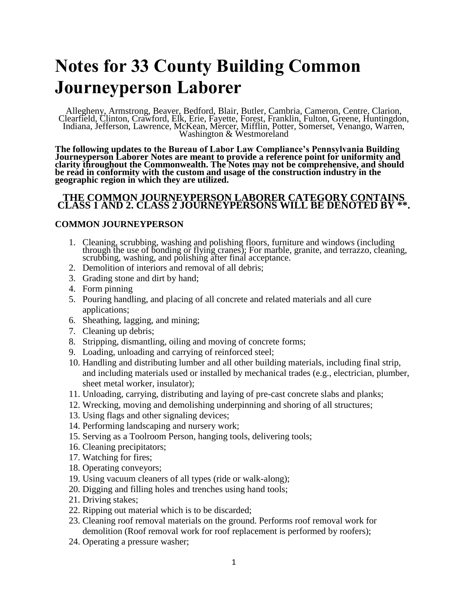# **Notes for 33 County Building Common Journeyperson Laborer**

Allegheny, Armstrong, Beaver, Bedford, Blair, Butler, Cambria, Cameron, Centre, Clarion, Clearfield, Clinton, Crawford, Elk, Erie, Fayette, Forest, Franklin, Fulton, Greene, Huntingdon, Indiana, Jefferson, Lawrence, McKean, Mercer, Mifflin, Potter, Somerset, Venango, Warren, Washington & Westmoreland

**The following updates to the Bureau of Labor Law Compliance's Pennsylvania Building Journeyperson Laborer Notes are meant to provide a reference point for uniformity and clarity throughout the Commonwealth. The Notes may not be comprehensive, and should be read in conformity with the custom and usage of the construction industry in the geographic region in which they are utilized.**

#### **THE COMMON JOURNEYPERSON LABORER CATEGORY CONTAINS CLASS 1 AND 2. CLASS 2 JOURNEYPERSONS WILL BE DENOTED BY \*\*.**

### **COMMON JOURNEYPERSON**

- 1. Cleaning, scrubbing, washing and polishing floors, furniture and windows (including through the use of bonding or flying cranes); For marble, granite, and terrazzo, cleaning, scrubbing, washing, and polishing after final acceptance.
- 2. Demolition of interiors and removal of all debris;
- 3. Grading stone and dirt by hand;
- 4. Form pinning
- 5. Pouring handling, and placing of all concrete and related materials and all cure applications;
- 6. Sheathing, lagging, and mining;
- 7. Cleaning up debris;
- 8. Stripping, dismantling, oiling and moving of concrete forms;
- 9. Loading, unloading and carrying of reinforced steel;
- 10. Handling and distributing lumber and all other building materials, including final strip, and including materials used or installed by mechanical trades (e.g., electrician, plumber, sheet metal worker, insulator);
- 11. Unloading, carrying, distributing and laying of pre-cast concrete slabs and planks;
- 12. Wrecking, moving and demolishing underpinning and shoring of all structures;
- 13. Using flags and other signaling devices;
- 14. Performing landscaping and nursery work;
- 15. Serving as a Toolroom Person, hanging tools, delivering tools;
- 16. Cleaning precipitators;
- 17. Watching for fires;
- 18. Operating conveyors;
- 19. Using vacuum cleaners of all types (ride or walk-along);
- 20. Digging and filling holes and trenches using hand tools;
- 21. Driving stakes;
- 22. Ripping out material which is to be discarded;
- 23. Cleaning roof removal materials on the ground. Performs roof removal work for demolition (Roof removal work for roof replacement is performed by roofers);
- 24. Operating a pressure washer;